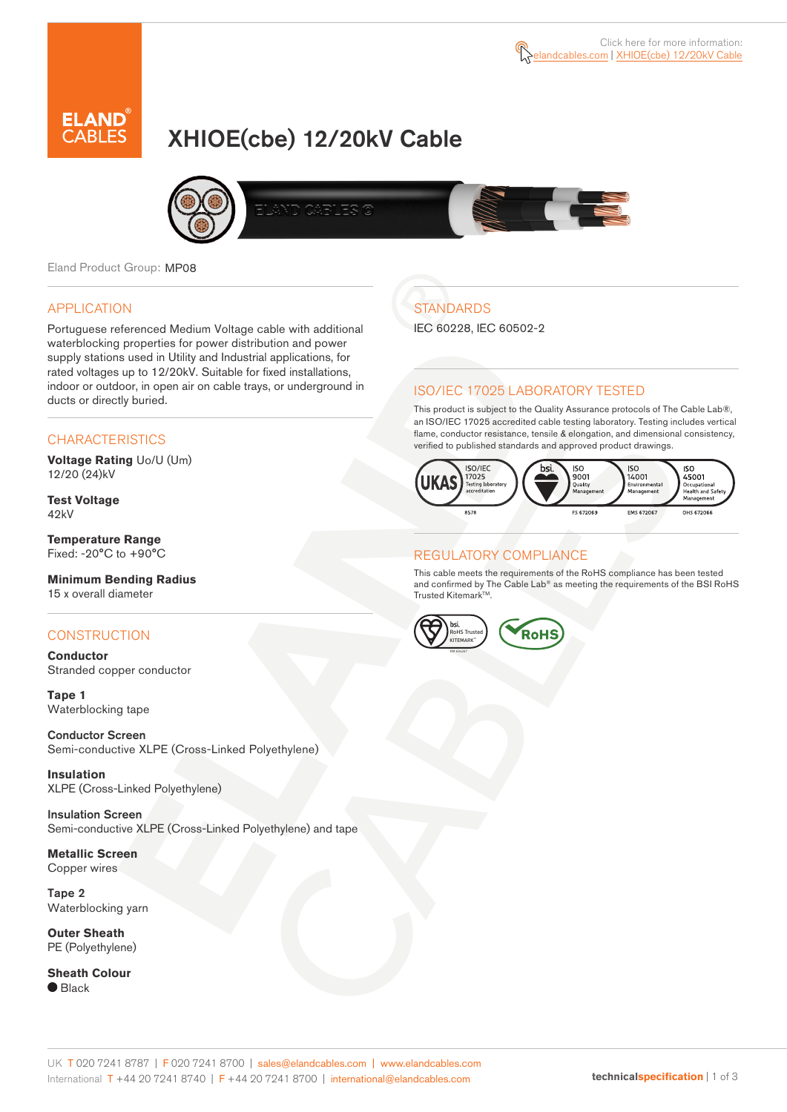# XHIOE(cbe) 12/20kV Cable



Eland Product Group: MP08

#### APPLICATION

Portuguese referenced Medium Voltage cable with additional waterblocking properties for power distribution and power supply stations used in Utility and Industrial applications, for rated voltages up to 12/20kV. Suitable for fixed installations, indoor or outdoor, in open air on cable trays, or underground in ducts or directly buried.

#### **CHARACTERISTICS**

**Voltage Rating** Uo/U (Um) 12/20 (24)kV

**Test Voltage** 42kV

**Temperature Range** Fixed: -20°C to +90°C

**Minimum Bending Radius** 15 x overall diameter

#### **CONSTRUCTION**

**Conductor** Stranded copper conductor

**Tape 1** Waterblocking tape

Conductor Screen Semi-conductive XLPE (Cross-Linked Polyethylene)

**Insulation** XLPE (Cross-Linked Polyethylene)

Insulation Screen Semi-conductive XLPE (Cross-Linked Polyethylene) and tape

**Metallic Screen** Copper wires

Tape 2 Waterblocking yarn

**Outer Sheath** PE (Polyethylene)

**Sheath Colour**  $\bullet$  Black

## **STANDARDS**

IEC 60228, IEC 60502-2

### ISO/IEC 17025 LABORATORY TESTED

This product is subject to the Quality Assurance protocols of The Cable Lab®, an ISO/IEC 17025 accredited cable testing laboratory. Testing includes vertical flame, conductor resistance, tensile & elongation, and dimensional consistency, verified to published standards and approved product drawings.



#### REGULATORY COMPLIANCE

This cable meets the requirements of the RoHS compliance has been tested and confirmed by The Cable Lab® as meeting the requirements of the BSI RoHS Trusted Kitemark™.



#### UK T 020 7241 8787 | F 020 7241 8700 | sales@elandcables.com | www.elandcables.com International T +44 20 7241 8740 | F +44 20 7241 8700 | international@elandcables.com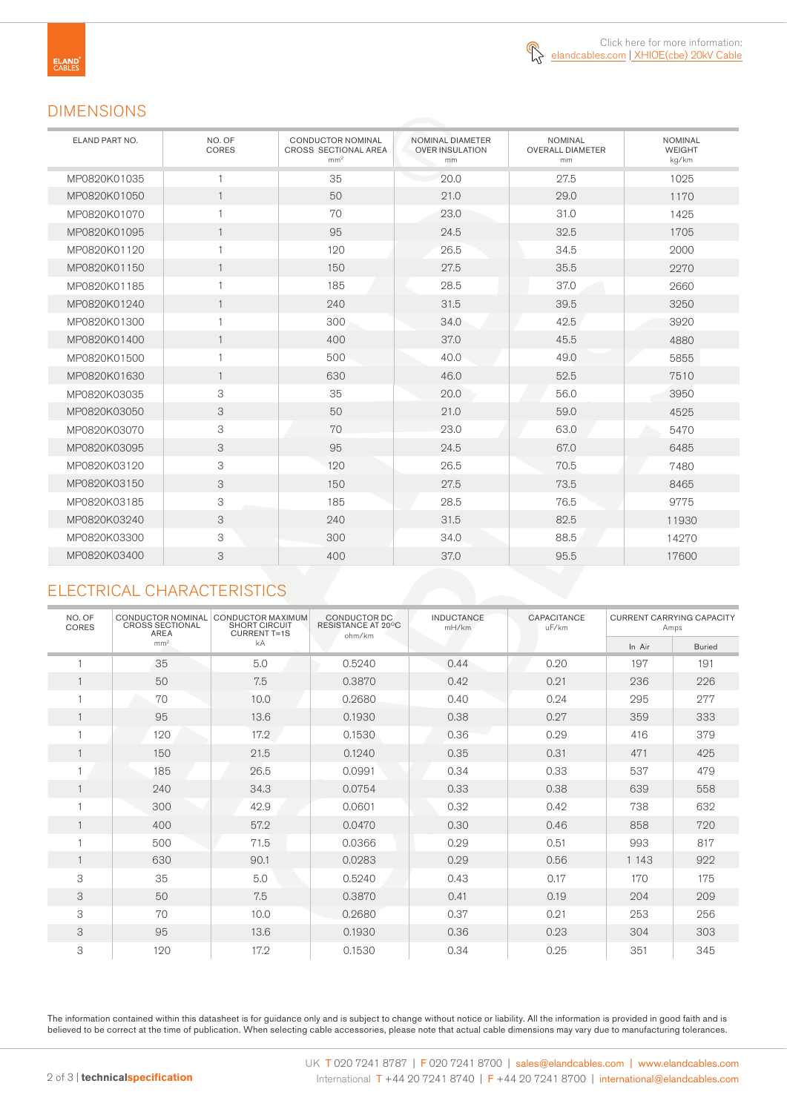

## DIMENSIONS

| ELAND PART NO. | NO. OF<br>CORES | <b>CONDUCTOR NOMINAL</b><br>CROSS SECTIONAL AREA<br>mm <sup>2</sup> | NOMINAL DIAMETER<br><b>OVER INSULATION</b><br>mm | <b>NOMINAL</b><br><b>OVERALL DIAMETER</b><br>mm | <b>NOMINAL</b><br><b>WEIGHT</b><br>kg/km |
|----------------|-----------------|---------------------------------------------------------------------|--------------------------------------------------|-------------------------------------------------|------------------------------------------|
| MP0820K01035   | 1               | 35                                                                  | 20.0                                             | 27.5                                            | 1025                                     |
| MP0820K01050   | $\mathbf{1}$    | 50                                                                  | 21.0                                             | 29.0                                            | 1170                                     |
| MP0820K01070   | $\mathbf{1}$    | 70                                                                  | 23.0                                             | 31.0                                            | 1425                                     |
| MP0820K01095   | $\mathbf{1}$    | 95                                                                  | 24.5                                             | 32.5                                            | 1705                                     |
| MP0820K01120   | $\mathbf{1}$    | 120                                                                 | 26.5                                             | 34.5                                            | 2000                                     |
| MP0820K01150   | $\mathbf{1}$    | 150                                                                 | 27.5                                             | 35.5                                            | 2270                                     |
| MP0820K01185   | 1               | 185                                                                 | 28.5                                             | 37.0                                            | 2660                                     |
| MP0820K01240   | $\mathbf{1}$    | 240                                                                 | 31.5                                             | 39.5                                            | 3250                                     |
| MP0820K01300   | 1               | 300                                                                 | 34.0                                             | 42.5                                            | 3920                                     |
| MP0820K01400   | $\mathbf{1}$    | 400                                                                 | 37.0                                             | 45.5                                            | 4880                                     |
| MP0820K01500   | 1               | 500                                                                 | 40.0                                             | 49.0                                            | 5855                                     |
| MP0820K01630   | $\mathbf{1}$    | 630                                                                 | 46.0                                             | 52.5                                            | 7510                                     |
| MP0820K03035   | 3               | 35                                                                  | 20.0                                             | 56.0                                            | 3950                                     |
| MP0820K03050   | 3               | 50                                                                  | 21.0                                             | 59.0                                            | 4525                                     |
| MP0820K03070   | 3               | 70                                                                  | 23.0                                             | 63.0                                            | 5470                                     |
| MP0820K03095   | 3               | 95                                                                  | 24.5                                             | 67.0                                            | 6485                                     |
| MP0820K03120   | 3               | 120                                                                 | 26.5                                             | 70.5                                            | 7480                                     |
| MP0820K03150   | 3               | 150                                                                 | 27.5                                             | 73.5                                            | 8465                                     |
| MP0820K03185   | 3               | 185                                                                 | 28.5                                             | 76.5                                            | 9775                                     |
| MP0820K03240   | 3               | 240                                                                 | 31.5                                             | 82.5                                            | 11930                                    |
| MP0820K03300   | 3               | 300                                                                 | 34.0                                             | 88.5                                            | 14270                                    |
| MP0820K03400   | 3               | 400                                                                 | 37.0                                             | 95.5                                            | 17600                                    |

## ELECTRICAL CHARACTERISTICS

| NO. OF<br>CORES | CONDUCTOR NOMINAL<br><b>CROSS SECTIONAL</b><br>AREA | <b>CONDUCTOR MAXIMUM</b><br><b>SHORT CIRCUIT</b><br><b>CURRENT T=1S</b> | CONDUCTOR DC<br>RESISTANCE AT 20°C<br>ohm/km | <b>INDUCTANCE</b><br>mH/km | CAPACITANCE<br>uF/km | <b>CURRENT CARRYING CAPACITY</b><br>Amps |               |
|-----------------|-----------------------------------------------------|-------------------------------------------------------------------------|----------------------------------------------|----------------------------|----------------------|------------------------------------------|---------------|
|                 | mm <sup>2</sup>                                     | kA                                                                      |                                              |                            |                      | In Air                                   | <b>Buried</b> |
|                 | 35                                                  | 5.0                                                                     | 0.5240                                       | 0.44                       | 0.20                 | 197                                      | 191           |
| $\mathbf{1}$    | 50                                                  | 7.5                                                                     | 0.3870                                       | 0.42                       | 0.21                 | 236                                      | 226           |
|                 | 70                                                  | 10.0                                                                    | 0.2680                                       | 0.40                       | 0.24                 | 295                                      | 277           |
| $\mathbf{1}$    | 95                                                  | 13.6                                                                    | 0.1930                                       | 0.38                       | 0.27                 | 359                                      | 333           |
|                 | 120                                                 | 17.2                                                                    | 0.1530                                       | 0.36                       | 0.29                 | 416                                      | 379           |
| $\mathbf{1}$    | 150                                                 | 21.5                                                                    | 0.1240                                       | 0.35                       | 0.31                 | 471                                      | 425           |
| 1               | 185                                                 | 26.5                                                                    | 0.0991                                       | 0.34                       | 0.33                 | 537                                      | 479           |
| $\mathbf{1}$    | 240                                                 | 34.3                                                                    | 0.0754                                       | 0.33                       | 0.38                 | 639                                      | 558           |
|                 | 300                                                 | 42.9                                                                    | 0.0601                                       | 0.32                       | 0.42                 | 738                                      | 632           |
| $\mathbf{1}$    | 400                                                 | 57.2                                                                    | 0.0470                                       | 0.30                       | 0.46                 | 858                                      | 720           |
| 1               | 500                                                 | 71.5                                                                    | 0.0366                                       | 0.29                       | 0.51                 | 993                                      | 817           |
| 1               | 630                                                 | 90.1                                                                    | 0.0283                                       | 0.29                       | 0.56                 | 1 1 4 3                                  | 922           |
| 3               | 35                                                  | 5.0                                                                     | 0.5240                                       | 0.43                       | 0.17                 | 170                                      | 175           |
| 3               | 50                                                  | 7.5                                                                     | 0.3870                                       | 0.41                       | 0.19                 | 204                                      | 209           |
| 3               | 70                                                  | 10.0                                                                    | 0.2680                                       | 0.37                       | 0.21                 | 253                                      | 256           |
| 3               | 95                                                  | 13.6                                                                    | 0.1930                                       | 0.36                       | 0.23                 | 304                                      | 303           |
| 3               | 120                                                 | 17.2                                                                    | 0.1530                                       | 0.34                       | 0.25                 | 351                                      | 345           |

The information contained within this datasheet is for guidance only and is subject to change without notice or liability. All the information is provided in good faith and is believed to be correct at the time of publication. When selecting cable accessories, please note that actual cable dimensions may vary due to manufacturing tolerances.